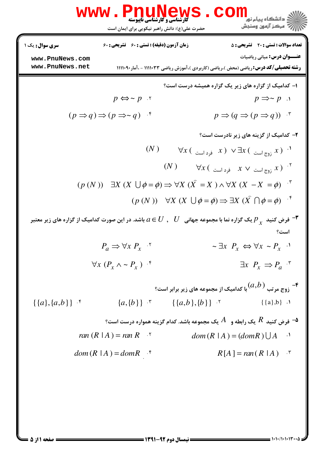|                                                              | www.PnuNews<br><b>گارشناسی و کارشناسی ناپیوسته</b><br>حضرت علی(ع): دانش راهبر نیکویی برای ایمان است | د<br>د انشکاه پيام نور<br>سنجش آزمون وسنجش                                                                                                                                         |
|--------------------------------------------------------------|-----------------------------------------------------------------------------------------------------|------------------------------------------------------------------------------------------------------------------------------------------------------------------------------------|
| <b>سری سوال :</b> یک ۱<br>www.PnuNews.com<br>www.PnuNews.net | <b>زمان آزمون (دقیقه) : تستی : 60 تشریحی : 60</b>                                                   | <b>تعداد سوالات : تستی : 20 ٪ تشریحی : 5</b><br><b>عنـــوان درس:</b> مبانی ریاضیات<br><b>رشته تحصیلی/کد درس: ر</b> یاضی (محض )،ریاضی (کاربردی )،آموزش ریاضی ۱۱۱۱۰۳۳ - ،آمار۱۱۱۰۹۰۱ |
|                                                              |                                                                                                     | ۱– کدامیک از گزاره های زیر یک گزاره همیشه درست است؟                                                                                                                                |
|                                                              | $p \Leftrightarrow \sim p$ .<br>$(p \Rightarrow q) \Rightarrow (p \Rightarrow q)$ *                 | $p \Rightarrow \sim p$ .<br>$p \Rightarrow (q \Rightarrow (p \Rightarrow q))$ *                                                                                                    |
|                                                              |                                                                                                     | ۲- کدامیک از گزینه های زیر نادرست است؟                                                                                                                                             |
|                                                              | (N)                                                                                                 | $\forall x$ ( فرد است ) $\exists x$ ( تروج است ) $\exists x$ ( $\bot$                                                                                                              |
|                                                              | (N)                                                                                                 | $\forall x\, ($ ا نوج است $x \vee x$ فرد است $^{\mathcal{X}}$<br>$(p(N))$ $\exists X (X \cup \phi = \phi) \Rightarrow \forall X (X = X) \land \forall X (X - X = \phi)$            |
|                                                              |                                                                                                     | $(p(N))$ $\forall X (X \cup \phi = \phi) \Rightarrow \exists X (X \cap \phi = \phi)$ f                                                                                             |
|                                                              |                                                                                                     | فرض کنید $p_{ _X}$ یک گزاره نما با مجموعه جهانی $U\;, \;\; U\;$ باشد. در این صورت کدامیک از گزاره های زیر معتبر $\blacksquare$<br>است؟                                             |
|                                                              | $P_a \Rightarrow \forall x P_x$                                                                     | $\sim \exists x \; P_x \Leftrightarrow \forall x \sim P_x$ ·                                                                                                                       |
|                                                              | $\forall x (P_x \wedge \sim P_x)$ f                                                                 | $\exists x \; P_x \Rightarrow P_a$ "                                                                                                                                               |
| $\{\{a\},\{a,b\}\}\$ .*                                      | ${a, {b}}$ $\}$ $\{a,b\}, {b}$ $\}$                                                                 | وج مرتب $(a,b)$ با کدامیک از مجموعه های زیر برابر است $\mathfrak{k}$<br>$\{\{a\},b\}$ .                                                                                            |
|                                                              | ran $(R   A) = ran R$ <sup>5</sup>                                                                  | ° فرض کنید $R$ یک رابطه و $A$ یک مجموعه باشد. کدام گزینه همواره درست است $\bullet$<br>$dom(R   A) = (domR) \bigcup A$ <sup>1</sup>                                                 |
|                                                              | $dom(R   A) = domR$ f                                                                               | $R[A] = ran(R A)$ *                                                                                                                                                                |
|                                                              |                                                                                                     |                                                                                                                                                                                    |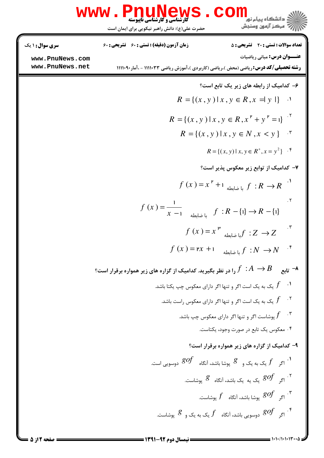|                                                              | <b>www.PnuNews</b><br><b>گارشناسی و کارشناسی ناپیوسته</b><br>حضرت علی(ع): دانش راهبر نیکویی برای ایمان است                                | COM<br>.<br>د انشگاه پیام نو <mark>ر</mark><br>رِ ۖ مرڪز آزمون وسنڊش                                                               |
|--------------------------------------------------------------|-------------------------------------------------------------------------------------------------------------------------------------------|------------------------------------------------------------------------------------------------------------------------------------|
| <b>سری سوال : ۱ یک</b><br>www.PnuNews.com<br>www.PnuNews.net | زمان آزمون (دقیقه) : تستی : 60 تشریحی : 60<br><b>رشته تحصیلی/کد درس: ریاضی (محض )،ریاضی (کاربردی )،آموزش ریاضی ۱۱۱۱۰۳۳ - ،آمار۱۱۱۱۰۹۰</b> | <b>تعداد سوالات : تستي : 20 ٪ تشريحي : 5</b><br><b>عنـــوان درس:</b> مبانی ریاضیات                                                 |
|                                                              |                                                                                                                                           | ۶– کدامیک از رابطه های زیر یک تابع است؟<br>$R = \{(x, y)   x, y \in R, x =  y  \}$ .                                               |
|                                                              |                                                                                                                                           | $R = \{(x, y)   x, y \in R, x^{\mathsf{P}} + y^{\mathsf{P}} = 1\}$<br>$R = \{(x, y)   x, y \in N, x < y\}$ .                       |
|                                                              |                                                                                                                                           | $R = \{(x, y)   x, y \in R^+, x = y^2\}$ .<br>۷- کدامیک از توابع زیر معکوس پذیر است؟                                               |
|                                                              |                                                                                                                                           | $f(x) = x^P + 1$ با ضابطه $f: R \rightarrow R$                                                                                     |
|                                                              | $f(x) = \frac{1}{x-1}$ أضابطه $f: R - \{1\} \to R - \{1\}$                                                                                | ۲.                                                                                                                                 |
|                                                              | $f(x) = rx + 1$                                                                                                                           | $f(x) = x^{\mathfrak{p}}$ ما ضابطه $f:Z \to Z$<br>با ضابطه $f\;:N\;\to\!N$                                                         |
|                                                              | - تابع $B \to f \, : A \to B$ را در نظر بگیرید. کدامیک از گزاره های زیر همواره برقرار است $\tau$                                          |                                                                                                                                    |
|                                                              |                                                                                                                                           | یک به یک است اگر و تنها اگر دارای معکوس چپ یکتا باشد. $f$<br>یک به یک است اگر و تنها اگر دارای معکوس راست باشد. $f$                |
|                                                              |                                                                                                                                           | ۰۳ پوشاست اگر و تنها اگر دارای معکوس چپ باشد. $f$<br>۰۴ معکوس یک تابع در صورت وجود، یکتاست.                                        |
|                                                              |                                                                                                                                           | ۹- کدامیک از گزاره های زیر همواره برقرار است؟<br>اگر ہ $f$ یک به یک و $\qquad$ پوشا باشد، آنگاه $\qquad$ $g$ دوسویی است. $f$       |
|                                                              |                                                                                                                                           | ۰۲ کر $\,$ $gof$ یک یه یک باشد، آنگاه $\,$ پوشاست. $\,$<br>۰۳ پوشاست. $\mathcal{g}of$ پوشا باشد، آنگاه $f$ پوشاست. $\mathcal{g}of$ |
|                                                              |                                                                                                                                           | او سویی باشد، آنگاه $f$ یک به یک و $\mathcal S$ پوشاست. $\mathcal S$                                                               |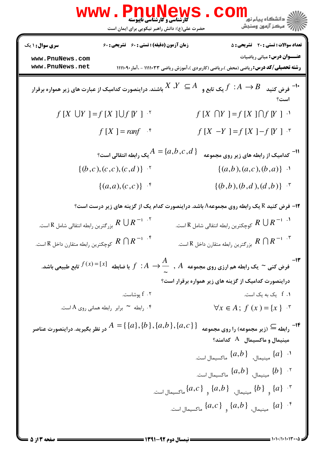|                                                                                                                                        | WWW.PnuNews                                                          | ر دانشگاه پیام نو <mark>.</mark><br>///// مرکز آزمهن وسنجش                                                                                  |  |
|----------------------------------------------------------------------------------------------------------------------------------------|----------------------------------------------------------------------|---------------------------------------------------------------------------------------------------------------------------------------------|--|
|                                                                                                                                        | حضرت علی(ع): دانش راهبر نیکویی برای ایمان است                        |                                                                                                                                             |  |
| <b>سری سوال :</b> ۱ یک                                                                                                                 | <b>زمان آزمون (دقیقه) : تستی : 60 ٪ تشریحی : 60</b>                  | <b>تعداد سوالات : تستی : 20 - تشریحی : 5</b>                                                                                                |  |
| www.PnuNews.com<br>www.PnuNews.net                                                                                                     |                                                                      | <b>عنـــوان درس:</b> مبانی ریاضیات<br><b>رشته تحصیلی/کد درس: ریاضی (محض ).ریاضی (کاربردی )،آموزش ریاضی ۱۱۱۱۰۳۳ - ،آمار۱۱۱۰۹۰۰</b>           |  |
| فرض کنید $B$ $A\rightarrow B$ یک تابع و $X,Y\subseteq A$ باشند. دراینصورت کدامیک از عبارت های زیر همواره برقرار $^{-1\bullet}$<br>است؟ |                                                                      |                                                                                                                                             |  |
|                                                                                                                                        | $f[X \cup Y] = f[X] \cup f[Y]$ "                                     | $f[X \cap Y] = f[X] \cap f[Y]$ .                                                                                                            |  |
|                                                                                                                                        | $f[X] = \text{ranf}$ *                                               | $f[X -Y] = f[X] - f[Y]$ *                                                                                                                   |  |
|                                                                                                                                        | $\mathbb{R}^2 = \{a,b,c,d\}$ یک رابطه انتقالی است $A = \{a,b,c,d\}$  | <sup>11-</sup> کدامیک از رابطه های زیر روی مجموعه                                                                                           |  |
|                                                                                                                                        | $\{(b,c),(c,c),(c,d)\}$ .                                            | $\{(a,b), (a,c), (b,a)\}$ $\cdot$                                                                                                           |  |
|                                                                                                                                        | $\{(a,a),(c,c)\}$ .*                                                 | $\{(b,b),(b,d),(d,b)\}$ .                                                                                                                   |  |
|                                                                                                                                        |                                                                      | <b>۱۲</b> - فرض کنید R یک رابطه روی مجموعهA باشد. دراینصورت کدام یک از گزینه های زیر درست است؟                                              |  |
| است. $R\,\cup R^{-1}$ بزرگترین رابطه انتقالی شامل $R\,\cup R^{-1}$ . $^\circ$                                                          |                                                                      | است. $R\,\bigcup R^{-1}$ ۰۱ کوچکترین رابطه انتقالی شامل $R\,\cup R^{-1}$ ۰۱ $\,$                                                            |  |
| د ا $R \cap R^{-1}$ کوچکترین رابطه متقارن داخل $R \cap R^{-1}$ . ۴                                                                     |                                                                      | است. $R \, \cap \, R$ بزرگترین رابطه متقارن داخل $R \, \cap R$ است. $R$                                                                     |  |
|                                                                                                                                        |                                                                      | ا۔ $f(x)$ او $f(x) = [x]$ فرض کنی ~ یک رابطه هم ارزی روی مجموعه $A$ , $\displaystyle \frac{A}{\sim}$ , $A$ با ضابطه $f(x)$ تابع طبیعی باشد. |  |
|                                                                                                                                        |                                                                      | دراینصورت کدامیک از گزینه های زیر همواره برقرار است؟                                                                                        |  |
|                                                                                                                                        | بوشاست. $f$ . ۲                                                      | f . ۱ یک به یک است.                                                                                                                         |  |
|                                                                                                                                        | ۰۴ رابطه <sup>مه</sup> برابر رابطه همانی روی A است.                  | $\forall x \in A; f(x) = \{x\}$                                                                                                             |  |
|                                                                                                                                        | در نظر بگیرید. دراینصورت عناصر $A=\set{\{a\},\{b\},\{a,b\},\{a,c\}}$ | ۱۴−<br>رابطه <sup>⊇</sup> (زیر مجموعه) را روی مجموعه<br>$^{\circ}$ مینیمال و ماکسیمال $^{\circ}$ کدامند                                     |  |
|                                                                                                                                        |                                                                      | د. $\{a\}$ مینیمال، $\{a,b\}$ ماکسیمال است. $\{a\}$                                                                                         |  |
|                                                                                                                                        |                                                                      | ۰۲ $\{b\}$ مینیمال، $\{a,b\}$ ماکسیمال است.                                                                                                 |  |
|                                                                                                                                        |                                                                      | . * . {4} $\{a,b\}$ مینیمال، $\{a,b\}$ و $\{a,b\}$ ماکسیمال است.                                                                            |  |
|                                                                                                                                        |                                                                      | . • [a] مینیمال، $\{a,b\}$ و $\{a,b\}$ ماکسیمال است.                                                                                        |  |
|                                                                                                                                        |                                                                      |                                                                                                                                             |  |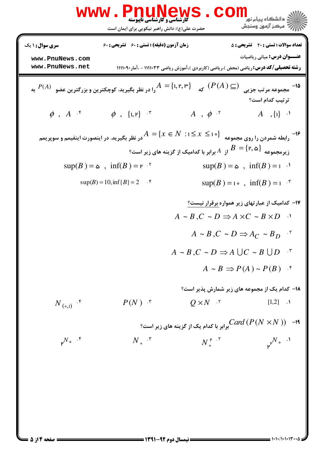|                                                                                                                                                                                                                                                                              | <b>www.PnuNews</b><br><b>گارشناسی و کارشناسی ناپیوسته</b><br>حضرت علی(ع): دانش راهبر نیکویی برای ایمان است              |                                                                                                 | د<br>د انشکاه پيام نور<br>رآ مرڪز آزمون وسنڊش                                    |  |
|------------------------------------------------------------------------------------------------------------------------------------------------------------------------------------------------------------------------------------------------------------------------------|-------------------------------------------------------------------------------------------------------------------------|-------------------------------------------------------------------------------------------------|----------------------------------------------------------------------------------|--|
| <b>سری سوال :</b> ۱ یک<br>www.PnuNews.com<br>www.PnuNews.net                                                                                                                                                                                                                 | <b>زمان آزمون (دقیقه) : تستی : 60 تشریحی : 60</b>                                                                       |                                                                                                 | <b>تعداد سوالات : تستی : 20 تشریحی : 5</b><br><b>عنـــوان درس:</b> مبانی ریاضیات |  |
| <b>رشته تحصیلی/کد درس:</b> ریاضی (محض )،ریاضی (کاربردی )،آموزش ریاضی ۱۱۱۱۰۳۳ - ،آمار۹۰۱۱۱۱۰ )<br>به $A=\lbrace$ ۱, ۲, ۳ $\rbrace$ $A=\lbrace$ ۱, ۲, ۳ $\rbrace$ را در نظر بگیرید. کوچکترین و بزرگترین عضو $(P(A) \subset )$ به<br>1۵-<br>مجموعه مرتب جزیی<br>ترتيب كدام است؟ |                                                                                                                         |                                                                                                 |                                                                                  |  |
| $\phi$ , $A$ $\cdot$ <sup>*</sup>                                                                                                                                                                                                                                            | $\phi$ , {1, r} $\cdot$                                                                                                 | $A, \phi$ .                                                                                     | $A, \{1\}$ $\cdot$                                                               |  |
|                                                                                                                                                                                                                                                                              | در نظر بگیرید. در اینصورت اینفیمم و سوپریمم $A=\{x\in N\,:\,$ در نظر بگیرید. در اینصورت اینفیمم و سوپریمم $\{X\leq n\}$ | یر مجموعه $B=\{\mathsf{r},\mathsf{a}\}$ از $A$ برابر با کدامیک از گزینه های زیر است؟ $B=$       | <b>۱۶</b><br>رابطه شمردن را روی مجموعه                                           |  |
|                                                                                                                                                                                                                                                                              | $sup(B) = \infty$ , $inf(B) = r$ .                                                                                      |                                                                                                 | $\sup(B) = \infty$ , $\inf(B) = 1$ .                                             |  |
|                                                                                                                                                                                                                                                                              | $sup(B) = 10, inf\{B\} = 2$ .                                                                                           |                                                                                                 | $\sup(B) = i \cdot$ , $\inf(B) = i \cdot$ <sup>r</sup>                           |  |
|                                                                                                                                                                                                                                                                              |                                                                                                                         | $A \sim B, C \sim D \Rightarrow A \times C \sim B \times D$ .                                   | <b>۱۷</b> - کدامیک از عبارتهای زیر همواره برقرار نیست؟                           |  |
|                                                                                                                                                                                                                                                                              |                                                                                                                         |                                                                                                 | $A \sim B, C \sim D \Rightarrow A_C \sim B_D$                                    |  |
|                                                                                                                                                                                                                                                                              |                                                                                                                         | $A \sim B, C \sim D \Rightarrow A \cup C \sim B \cup D$ "                                       | $A \sim B \Rightarrow P(A) \sim P(B)$ f                                          |  |
|                                                                                                                                                                                                                                                                              |                                                                                                                         |                                                                                                 | <b>۱۸- کدام یک از مجموعه های زیر شمارش پذیر است؟</b>                             |  |
| $N_{(0,1)}$ .                                                                                                                                                                                                                                                                | $P(N)$ $\cdot$                                                                                                          | $Q \times N$ .                                                                                  | $[1,2]$ .                                                                        |  |
|                                                                                                                                                                                                                                                                              |                                                                                                                         | ا - $Card\left(P\left(N\times N\right)\right)$ ا $-$ برابر با کدام یک از گزینه های زیر است $^o$ |                                                                                  |  |
| $\mu^{N}$ ° <sup>. ۴</sup>                                                                                                                                                                                                                                                   | $N_{\circ}$ $\cdot$ $\cdot$                                                                                             | $N_{\circ}^{\mu}$ . <sup>r</sup>                                                                | $\nu^{\nu N}$ $\cdot$ $\cdot$ $\cdot$ $\cdot$                                    |  |
|                                                                                                                                                                                                                                                                              |                                                                                                                         |                                                                                                 |                                                                                  |  |
|                                                                                                                                                                                                                                                                              |                                                                                                                         |                                                                                                 |                                                                                  |  |